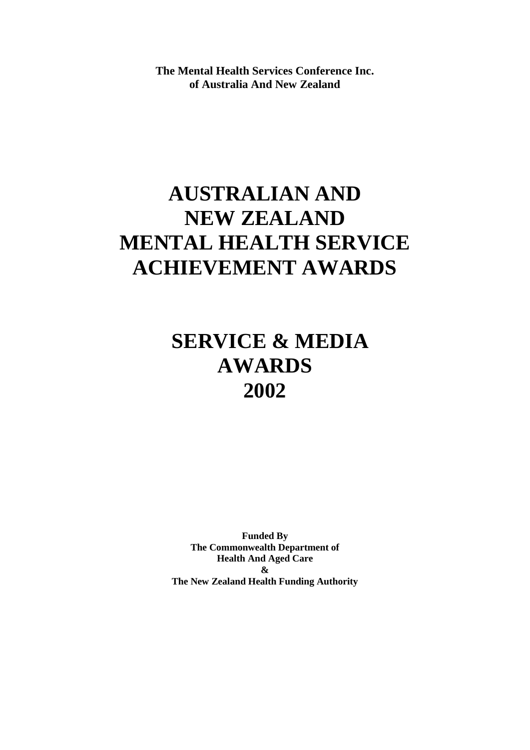**The Mental Health Services Conference Inc. of Australia And New Zealand**

# **AUSTRALIAN AND NEW ZEALAND MENTAL HEALTH SERVICE ACHIEVEMENT AWARDS**

# **SERVICE & MEDIA AWARDS 2002**

**Funded By The Commonwealth Department of Health And Aged Care & The New Zealand Health Funding Authority**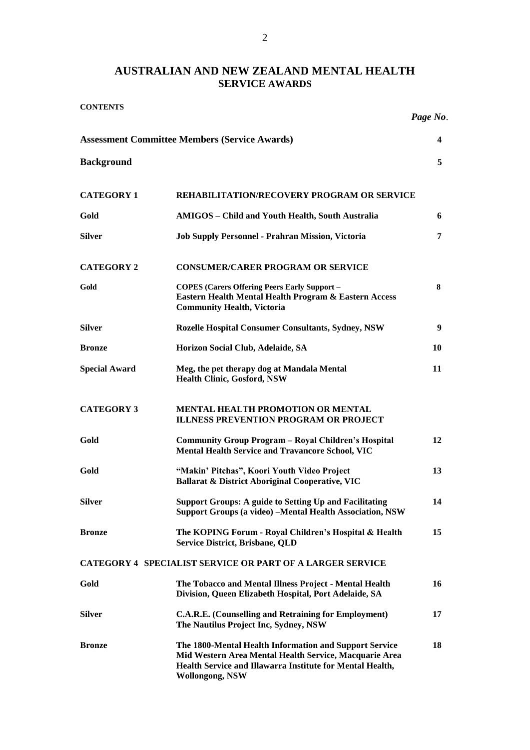# **AUSTRALIAN AND NEW ZEALAND MENTAL HEALTH SERVICE AWARDS**

| <b>CONTENTS</b>      |                                                                                                                                                                                                         | Page No. |
|----------------------|---------------------------------------------------------------------------------------------------------------------------------------------------------------------------------------------------------|----------|
|                      | <b>Assessment Committee Members (Service Awards)</b>                                                                                                                                                    | 4        |
| <b>Background</b>    |                                                                                                                                                                                                         | 5        |
| <b>CATEGORY 1</b>    | <b>REHABILITATION/RECOVERY PROGRAM OR SERVICE</b>                                                                                                                                                       |          |
| Gold                 | <b>AMIGOS</b> - Child and Youth Health, South Australia                                                                                                                                                 | 6        |
| <b>Silver</b>        | <b>Job Supply Personnel - Prahran Mission, Victoria</b>                                                                                                                                                 | 7        |
| <b>CATEGORY 2</b>    | <b>CONSUMER/CARER PROGRAM OR SERVICE</b>                                                                                                                                                                |          |
| Gold                 | <b>COPES (Carers Offering Peers Early Support -</b><br>Eastern Health Mental Health Program & Eastern Access<br><b>Community Health, Victoria</b>                                                       | 8        |
| <b>Silver</b>        | <b>Rozelle Hospital Consumer Consultants, Sydney, NSW</b>                                                                                                                                               | 9        |
| <b>Bronze</b>        | Horizon Social Club, Adelaide, SA                                                                                                                                                                       | 10       |
| <b>Special Award</b> | Meg, the pet therapy dog at Mandala Mental<br><b>Health Clinic, Gosford, NSW</b>                                                                                                                        | 11       |
| <b>CATEGORY 3</b>    | <b>MENTAL HEALTH PROMOTION OR MENTAL</b><br><b>ILLNESS PREVENTION PROGRAM OR PROJECT</b>                                                                                                                |          |
| Gold                 | <b>Community Group Program - Royal Children's Hospital</b><br><b>Mental Health Service and Travancore School, VIC</b>                                                                                   | 12       |
| Gold                 | "Makin' Pitchas", Koori Youth Video Project<br><b>Ballarat &amp; District Aboriginal Cooperative, VIC</b>                                                                                               | 13       |
| <b>Silver</b>        | <b>Support Groups: A guide to Setting Up and Facilitating</b><br>Support Groups (a video) -Mental Health Association, NSW                                                                               | 14       |
| <b>Bronze</b>        | The KOPING Forum - Royal Children's Hospital & Health<br><b>Service District, Brisbane, QLD</b>                                                                                                         | 15       |
|                      | <b>CATEGORY 4 SPECIALIST SERVICE OR PART OF A LARGER SERVICE</b>                                                                                                                                        |          |
| Gold                 | The Tobacco and Mental Illness Project - Mental Health<br>Division, Queen Elizabeth Hospital, Port Adelaide, SA                                                                                         | 16       |
| <b>Silver</b>        | <b>C.A.R.E.</b> (Counselling and Retraining for Employment)<br>The Nautilus Project Inc, Sydney, NSW                                                                                                    | 17       |
| <b>Bronze</b>        | The 1800-Mental Health Information and Support Service<br>Mid Western Area Mental Health Service, Macquarie Area<br>Health Service and Illawarra Institute for Mental Health,<br><b>Wollongong, NSW</b> | 18       |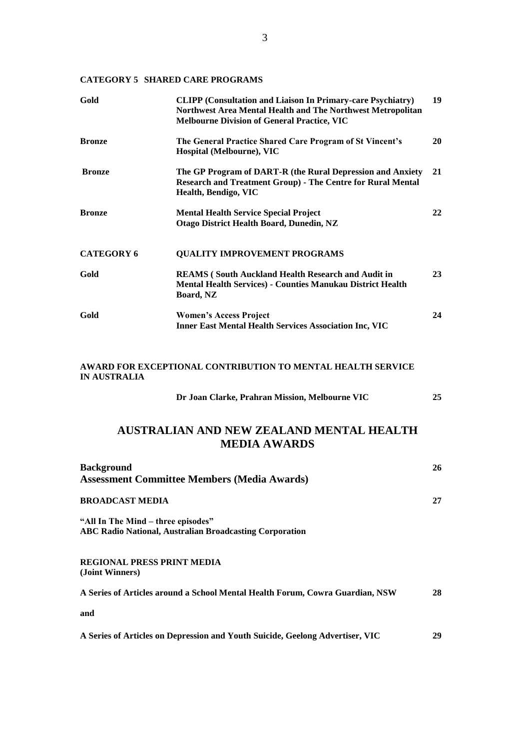| Gold                | <b>CLIPP</b> (Consultation and Liaison In Primary-care Psychiatry)<br>Northwest Area Mental Health and The Northwest Metropolitan<br><b>Melbourne Division of General Practice, VIC</b> | 19 |
|---------------------|-----------------------------------------------------------------------------------------------------------------------------------------------------------------------------------------|----|
| <b>Bronze</b>       | The General Practice Shared Care Program of St Vincent's<br><b>Hospital (Melbourne), VIC</b>                                                                                            | 20 |
| <b>Bronze</b>       | The GP Program of DART-R (the Rural Depression and Anxiety<br><b>Research and Treatment Group) - The Centre for Rural Mental</b><br>Health, Bendigo, VIC                                | 21 |
| <b>Bronze</b>       | <b>Mental Health Service Special Project</b><br>Otago District Health Board, Dunedin, NZ                                                                                                | 22 |
| <b>CATEGORY 6</b>   | <b>QUALITY IMPROVEMENT PROGRAMS</b>                                                                                                                                                     |    |
| Gold                | <b>REAMS (South Auckland Health Research and Audit in</b><br><b>Mental Health Services) - Counties Manukau District Health</b><br>Board, NZ                                             | 23 |
| Gold                | <b>Women's Access Project</b><br><b>Inner East Mental Health Services Association Inc, VIC</b>                                                                                          | 24 |
| <b>IN AUSTRALIA</b> | AWARD FOR EXCEPTIONAL CONTRIBUTION TO MENTAL HEALTH SERVICE                                                                                                                             |    |
|                     | Dr Joan Clarke, Prahran Mission, Melbourne VIC                                                                                                                                          | 25 |
|                     | A LICTO A L'EAN 'AND NIEW ZE AL AND MENTAL THE ALTER                                                                                                                                    |    |

# **AUSTRALIAN AND NEW ZEALAND MENTAL HEALTH MEDIA AWARDS**

| <b>Background</b>                                                             | 26 |
|-------------------------------------------------------------------------------|----|
| <b>Assessment Committee Members (Media Awards)</b>                            |    |
| <b>BROADCAST MEDIA</b>                                                        | 27 |
| "All In The Mind – three episodes"                                            |    |
| <b>ABC Radio National, Australian Broadcasting Corporation</b>                |    |
| <b>REGIONAL PRESS PRINT MEDIA</b>                                             |    |
| (Joint Winners)                                                               |    |
| A Series of Articles around a School Mental Health Forum, Cowra Guardian, NSW | 28 |
| and                                                                           |    |
| A Series of Articles on Depression and Youth Suicide, Geelong Advertiser, VIC | 29 |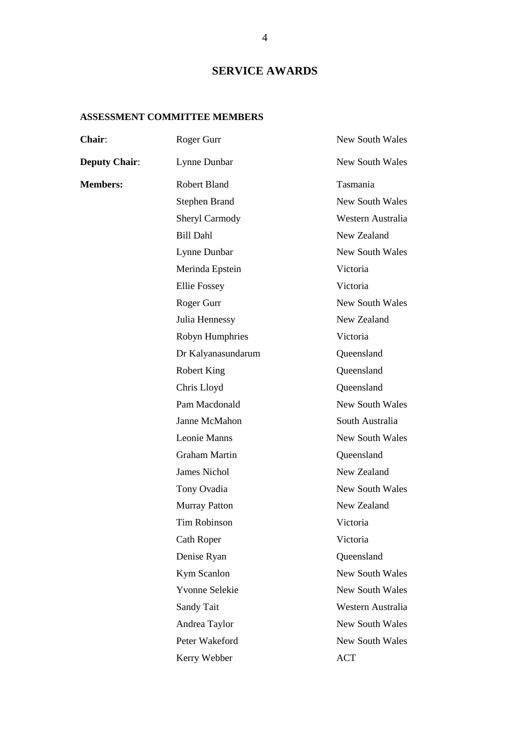# **SERVICE AWARDS**

# **ASSESSMENT COMMITTEE MEMBERS**

| Chair:               | Roger Gurr            | New South Wales        |
|----------------------|-----------------------|------------------------|
| <b>Deputy Chair:</b> | Lynne Dunbar          | <b>New South Wales</b> |
| <b>Members:</b>      | <b>Robert Bland</b>   | Tasmania               |
|                      | <b>Stephen Brand</b>  | <b>New South Wales</b> |
|                      | <b>Sheryl Carmody</b> | Western Australia      |
|                      | <b>Bill Dahl</b>      | New Zealand            |
|                      | Lynne Dunbar          | <b>New South Wales</b> |
|                      | Merinda Epstein       | Victoria               |
|                      | <b>Ellie Fossey</b>   | Victoria               |
|                      | Roger Gurr            | <b>New South Wales</b> |
|                      | Julia Hennessy        | New Zealand            |
|                      | Robyn Humphries       | Victoria               |
|                      | Dr Kalyanasundarum    | Queensland             |
|                      | Robert King           | Queensland             |
|                      | Chris Lloyd           | Queensland             |
|                      | Pam Macdonald         | <b>New South Wales</b> |
|                      | Janne McMahon         | South Australia        |
|                      | Leonie Manns          | <b>New South Wales</b> |
|                      | <b>Graham Martin</b>  | Queensland             |
|                      | <b>James Nichol</b>   | New Zealand            |
|                      | Tony Ovadia           | <b>New South Wales</b> |
|                      | <b>Murray Patton</b>  | New Zealand            |
|                      | <b>Tim Robinson</b>   | Victoria               |
|                      | <b>Cath Roper</b>     | Victoria               |
|                      | Denise Ryan           | Queensland             |
|                      | Kym Scanlon           | New South Wales        |
|                      | <b>Yvonne Selekie</b> | <b>New South Wales</b> |
|                      | <b>Sandy Tait</b>     | Western Australia      |
|                      | Andrea Taylor         | New South Wales        |
|                      | Peter Wakeford        | <b>New South Wales</b> |
|                      | Kerry Webber          | <b>ACT</b>             |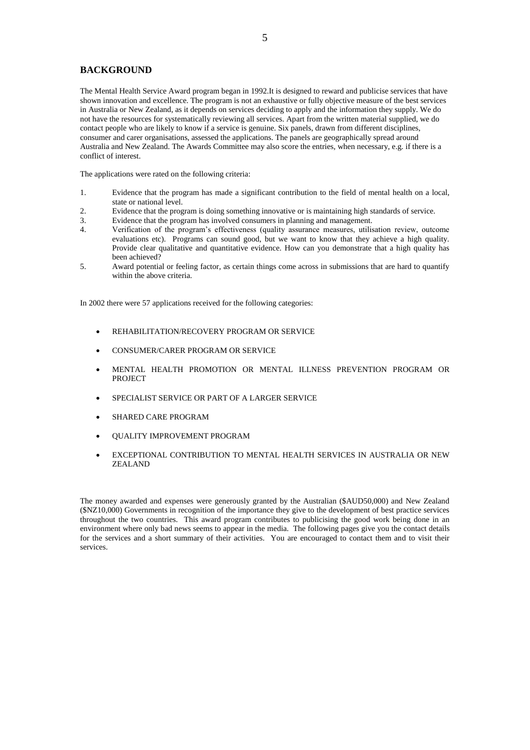# **BACKGROUND**

The Mental Health Service Award program began in 1992.It is designed to reward and publicise services that have shown innovation and excellence. The program is not an exhaustive or fully objective measure of the best services in Australia or New Zealand, as it depends on services deciding to apply and the information they supply. We do not have the resources for systematically reviewing all services. Apart from the written material supplied, we do contact people who are likely to know if a service is genuine. Six panels, drawn from different disciplines, consumer and carer organisations, assessed the applications. The panels are geographically spread around Australia and New Zealand. The Awards Committee may also score the entries, when necessary, e.g. if there is a conflict of interest.

The applications were rated on the following criteria:

- 1. Evidence that the program has made a significant contribution to the field of mental health on a local, state or national level.
- 2. Evidence that the program is doing something innovative or is maintaining high standards of service.
- 3. Evidence that the program has involved consumers in planning and management.
- 4. Verification of the program's effectiveness (quality assurance measures, utilisation review, outcome evaluations etc). Programs can sound good, but we want to know that they achieve a high quality. Provide clear qualitative and quantitative evidence. How can you demonstrate that a high quality has been achieved?
- 5. Award potential or feeling factor, as certain things come across in submissions that are hard to quantify within the above criteria.

In 2002 there were 57 applications received for the following categories:

- REHABILITATION/RECOVERY PROGRAM OR SERVICE
- CONSUMER/CARER PROGRAM OR SERVICE
- MENTAL HEALTH PROMOTION OR MENTAL ILLNESS PREVENTION PROGRAM OR **PROJECT**
- SPECIALIST SERVICE OR PART OF A LARGER SERVICE
- SHARED CARE PROGRAM
- QUALITY IMPROVEMENT PROGRAM
- EXCEPTIONAL CONTRIBUTION TO MENTAL HEALTH SERVICES IN AUSTRALIA OR NEW ZEALAND

The money awarded and expenses were generously granted by the Australian (\$AUD50,000) and New Zealand (\$NZ10,000) Governments in recognition of the importance they give to the development of best practice services throughout the two countries. This award program contributes to publicising the good work being done in an environment where only bad news seems to appear in the media. The following pages give you the contact details for the services and a short summary of their activities. You are encouraged to contact them and to visit their services.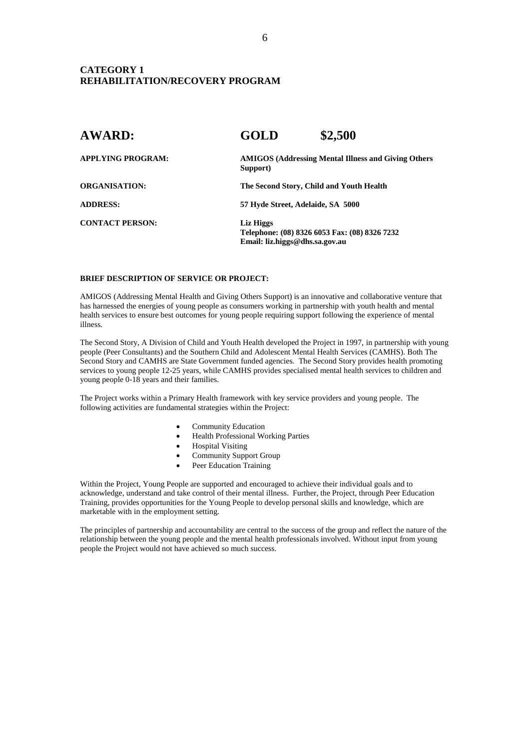# **CATEGORY 1 REHABILITATION/RECOVERY PROGRAM**

| <b>AWARD:</b>            | <b>GOLD</b>                                                                                  | \$2,500 |
|--------------------------|----------------------------------------------------------------------------------------------|---------|
| <b>APPLYING PROGRAM:</b> | <b>AMIGOS (Addressing Mental Illness and Giving Others)</b><br>Support)                      |         |
| <b>ORGANISATION:</b>     | The Second Story, Child and Youth Health                                                     |         |
| <b>ADDRESS:</b>          | 57 Hyde Street, Adelaide, SA 5000                                                            |         |
| <b>CONTACT PERSON:</b>   | Liz Higgs<br>Telephone: (08) 8326 6053 Fax: (08) 8326 7232<br>Email: liz.higgs@dhs.sa.gov.au |         |

#### **BRIEF DESCRIPTION OF SERVICE OR PROJECT:**

AMIGOS (Addressing Mental Health and Giving Others Support) is an innovative and collaborative venture that has harnessed the energies of young people as consumers working in partnership with youth health and mental health services to ensure best outcomes for young people requiring support following the experience of mental illness.

The Second Story, A Division of Child and Youth Health developed the Project in 1997, in partnership with young people (Peer Consultants) and the Southern Child and Adolescent Mental Health Services (CAMHS). Both The Second Story and CAMHS are State Government funded agencies. The Second Story provides health promoting services to young people 12-25 years, while CAMHS provides specialised mental health services to children and young people 0-18 years and their families.

The Project works within a Primary Health framework with key service providers and young people. The following activities are fundamental strategies within the Project:

- Community Education
- Health Professional Working Parties
- Hospital Visiting
- Community Support Group
- Peer Education Training

Within the Project, Young People are supported and encouraged to achieve their individual goals and to acknowledge, understand and take control of their mental illness. Further, the Project, through Peer Education Training, provides opportunities for the Young People to develop personal skills and knowledge, which are marketable with in the employment setting.

The principles of partnership and accountability are central to the success of the group and reflect the nature of the relationship between the young people and the mental health professionals involved. Without input from young people the Project would not have achieved so much success.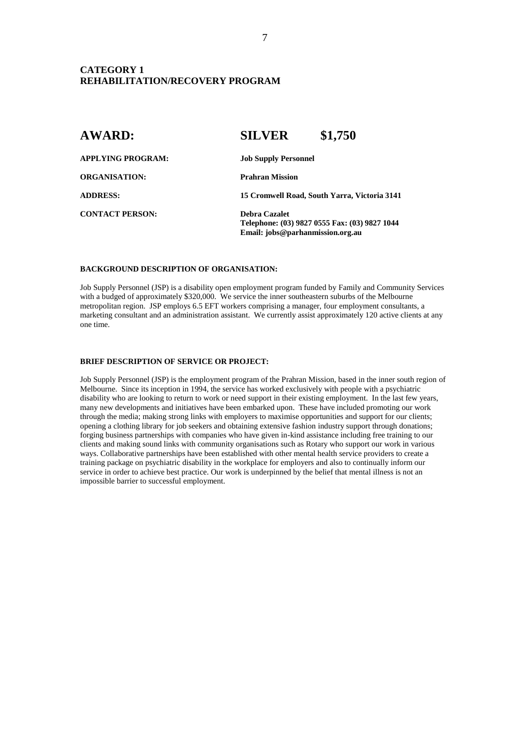# **CATEGORY 1 REHABILITATION/RECOVERY PROGRAM**

| <b>AWARD:</b>            | <b>SILVER</b>                                                                                             | \$1,750                                      |
|--------------------------|-----------------------------------------------------------------------------------------------------------|----------------------------------------------|
| <b>APPLYING PROGRAM:</b> | <b>Job Supply Personnel</b>                                                                               |                                              |
| <b>ORGANISATION:</b>     | <b>Prahran Mission</b>                                                                                    |                                              |
| <b>ADDRESS:</b>          |                                                                                                           | 15 Cromwell Road, South Yarra, Victoria 3141 |
| <b>CONTACT PERSON:</b>   | <b>Debra Cazalet</b><br>Telephone: (03) 9827 0555 Fax: (03) 9827 1044<br>Email: jobs@parhanmission.org.au |                                              |

#### **BACKGROUND DESCRIPTION OF ORGANISATION:**

Job Supply Personnel (JSP) is a disability open employment program funded by Family and Community Services with a budged of approximately \$320,000. We service the inner southeastern suburbs of the Melbourne metropolitan region. JSP employs 6.5 EFT workers comprising a manager, four employment consultants, a marketing consultant and an administration assistant. We currently assist approximately 120 active clients at any one time.

#### **BRIEF DESCRIPTION OF SERVICE OR PROJECT:**

Job Supply Personnel (JSP) is the employment program of the Prahran Mission, based in the inner south region of Melbourne. Since its inception in 1994, the service has worked exclusively with people with a psychiatric disability who are looking to return to work or need support in their existing employment. In the last few years, many new developments and initiatives have been embarked upon. These have included promoting our work through the media; making strong links with employers to maximise opportunities and support for our clients; opening a clothing library for job seekers and obtaining extensive fashion industry support through donations; forging business partnerships with companies who have given in-kind assistance including free training to our clients and making sound links with community organisations such as Rotary who support our work in various ways. Collaborative partnerships have been established with other mental health service providers to create a training package on psychiatric disability in the workplace for employers and also to continually inform our service in order to achieve best practice. Our work is underpinned by the belief that mental illness is not an impossible barrier to successful employment.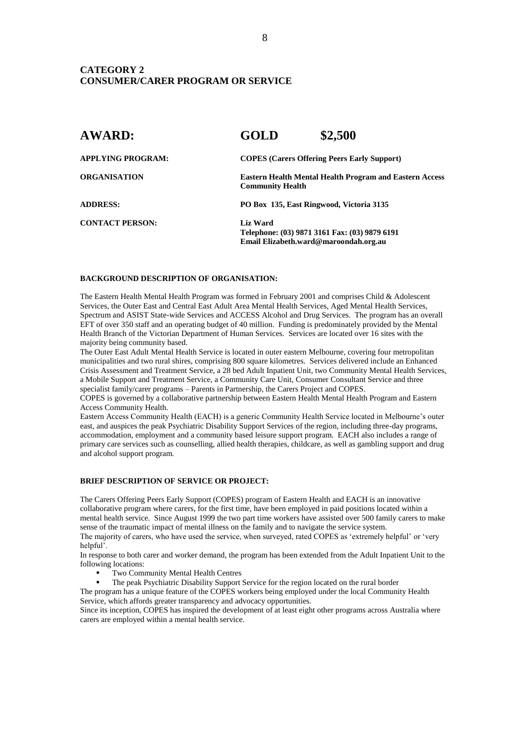| <b>AWARD:</b>            | <b>GOLD</b>     | \$2,500                                                                                   |  |
|--------------------------|-----------------|-------------------------------------------------------------------------------------------|--|
| <b>APPLYING PROGRAM:</b> |                 | <b>COPES</b> (Carers Offering Peers Early Support)                                        |  |
| <b>ORGANISATION</b>      |                 | <b>Eastern Health Mental Health Program and Eastern Access</b><br><b>Community Health</b> |  |
| <b>ADDRESS:</b>          |                 | PO Box 135, East Ringwood, Victoria 3135                                                  |  |
| <b>CONTACT PERSON:</b>   | <b>Liz Ward</b> | Telephone: (03) 9871 3161 Fax: (03) 9879 6191<br>Email Elizabeth.ward@maroondah.org.au    |  |

#### **BACKGROUND DESCRIPTION OF ORGANISATION:**

The Eastern Health Mental Health Program was formed in February 2001 and comprises Child & Adolescent Services, the Outer East and Central East Adult Area Mental Health Services, Aged Mental Health Services, Spectrum and ASIST State-wide Services and ACCESS Alcohol and Drug Services. The program has an overall EFT of over 350 staff and an operating budget of 40 million. Funding is predominately provided by the Mental Health Branch of the Victorian Department of Human Services. Services are located over 16 sites with the majority being community based.

The Outer East Adult Mental Health Service is located in outer eastern Melbourne, covering four metropolitan municipalities and two rural shires, comprising 800 square kilometres. Services delivered include an Enhanced Crisis Assessment and Treatment Service, a 28 bed Adult Inpatient Unit, two Community Mental Health Services, a Mobile Support and Treatment Service, a Community Care Unit, Consumer Consultant Service and three specialist family/carer programs – Parents in Partnership, the Carers Project and COPES.

COPES is governed by a collaborative partnership between Eastern Health Mental Health Program and Eastern Access Community Health.

Eastern Access Community Health (EACH) is a generic Community Health Service located in Melbourne's outer east, and auspices the peak Psychiatric Disability Support Services of the region, including three-day programs, accommodation, employment and a community based leisure support program. EACH also includes a range of primary care services such as counselling, allied health therapies, childcare, as well as gambling support and drug and alcohol support program.

#### **BRIEF DESCRIPTION OF SERVICE OR PROJECT:**

The Carers Offering Peers Early Support (COPES) program of Eastern Health and EACH is an innovative collaborative program where carers, for the first time, have been employed in paid positions located within a mental health service. Since August 1999 the two part time workers have assisted over 500 family carers to make sense of the traumatic impact of mental illness on the family and to navigate the service system.

The majority of carers, who have used the service, when surveyed, rated COPES as 'extremely helpful' or 'very helpful'.

In response to both carer and worker demand, the program has been extended from the Adult Inpatient Unit to the following locations:

- Two Community Mental Health Centres
- The peak Psychiatric Disability Support Service for the region located on the rural border

The program has a unique feature of the COPES workers being employed under the local Community Health Service, which affords greater transparency and advocacy opportunities.

Since its inception, COPES has inspired the development of at least eight other programs across Australia where carers are employed within a mental health service.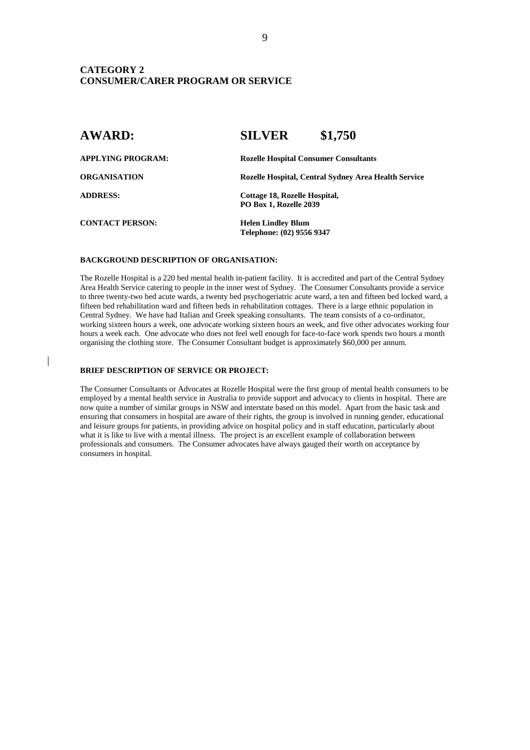| <b>AWARD:</b>            | <b>SILVER</b>                                           | \$1,750                                              |
|--------------------------|---------------------------------------------------------|------------------------------------------------------|
| <b>APPLYING PROGRAM:</b> | <b>Rozelle Hospital Consumer Consultants</b>            |                                                      |
| <b>ORGANISATION</b>      |                                                         | Rozelle Hospital, Central Sydney Area Health Service |
| <b>ADDRESS:</b>          | Cottage 18, Rozelle Hospital,<br>PO Box 1, Rozelle 2039 |                                                      |
| <b>CONTACT PERSON:</b>   | <b>Helen Lindley Blum</b><br>Telephone: (02) 9556 9347  |                                                      |

#### **BACKGROUND DESCRIPTION OF ORGANISATION:**

The Rozelle Hospital is a 220 bed mental health in-patient facility. It is accredited and part of the Central Sydney Area Health Service catering to people in the inner west of Sydney. The Consumer Consultants provide a service to three twenty-two bed acute wards, a twenty bed psychogeriatric acute ward, a ten and fifteen bed locked ward, a fifteen bed rehabilitation ward and fifteen beds in rehabilitation cottages. There is a large ethnic population in Central Sydney. We have had Italian and Greek speaking consultants. The team consists of a co-ordinator, working sixteen hours a week, one advocate working sixteen hours an week, and five other advocates working four hours a week each. One advocate who does not feel well enough for face-to-face work spends two hours a month organising the clothing store. The Consumer Consultant budget is approximately \$60,000 per annum.

#### **BRIEF DESCRIPTION OF SERVICE OR PROJECT:**

The Consumer Consultants or Advocates at Rozelle Hospital were the first group of mental health consumers to be employed by a mental health service in Australia to provide support and advocacy to clients in hospital. There are now quite a number of similar groups in NSW and interstate based on this model. Apart from the basic task and ensuring that consumers in hospital are aware of their rights, the group is involved in running gender, educational and leisure groups for patients, in providing advice on hospital policy and in staff education, particularly about what it is like to live with a mental illness. The project is an excellent example of collaboration between professionals and consumers. The Consumer advocates have always gauged their worth on acceptance by consumers in hospital.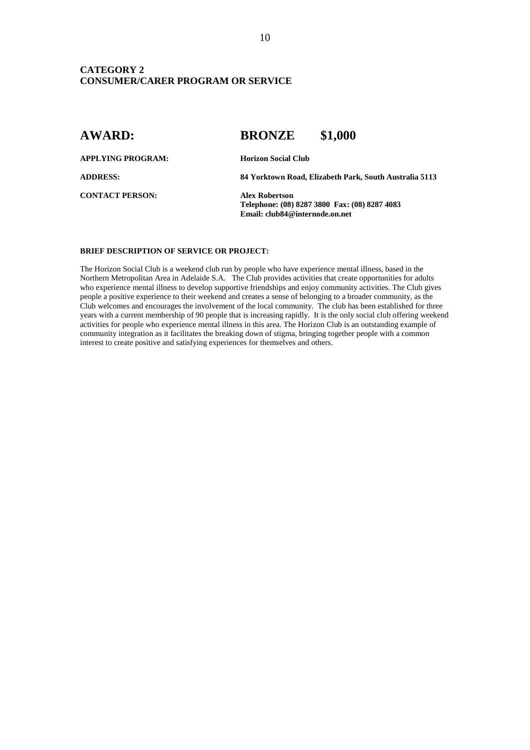| <b>AWARD:</b>            | <b>BRONZE</b>                  | \$1,000 |
|--------------------------|--------------------------------|---------|
| <b>APPLYING PROGRAM:</b> | <b>Horizon Social Club</b>     |         |
| ADDDECC.                 | 84 Vorktown Dood Flizoboth Dor |         |

**CONTACT PERSON: Alex Robertson**

**ADDRESS: 84 Yorktown Road, Elizabeth Park, South Australia 5113**

**Telephone: (08) 8287 3800 Fax: (08) 8287 4083 Email: club84@internode.on.net**

#### **BRIEF DESCRIPTION OF SERVICE OR PROJECT:**

The Horizon Social Club is a weekend club run by people who have experience mental illness, based in the Northern Metropolitan Area in Adelaide S.A. The Club provides activities that create opportunities for adults who experience mental illness to develop supportive friendships and enjoy community activities. The Club gives people a positive experience to their weekend and creates a sense of belonging to a broader community, as the Club welcomes and encourages the involvement of the local community. The club has been established for three years with a current membership of 90 people that is increasing rapidly. It is the only social club offering weekend activities for people who experience mental illness in this area. The Horizon Club is an outstanding example of community integration as it facilitates the breaking down of stigma, bringing together people with a common interest to create positive and satisfying experiences for themselves and others.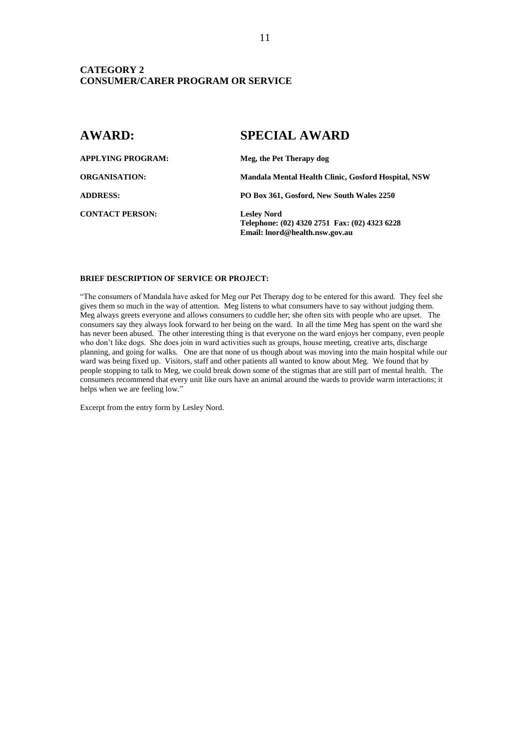| <b>AWARD:</b>            | <b>SPECIAL AWARD</b>                                                                                  |
|--------------------------|-------------------------------------------------------------------------------------------------------|
| <b>APPLYING PROGRAM:</b> | Meg, the Pet Therapy dog                                                                              |
| <b>ORGANISATION:</b>     | Mandala Mental Health Clinic, Gosford Hospital, NSW                                                   |
| <b>ADDRESS:</b>          | PO Box 361, Gosford, New South Wales 2250                                                             |
| <b>CONTACT PERSON:</b>   | <b>Lesley Nord</b><br>Telephone: (02) 4320 2751 Fax: (02) 4323 6228<br>Email: lnord@health.nsw.gov.au |

#### **BRIEF DESCRIPTION OF SERVICE OR PROJECT:**

"The consumers of Mandala have asked for Meg our Pet Therapy dog to be entered for this award. They feel she gives them so much in the way of attention. Meg listens to what consumers have to say without judging them. Meg always greets everyone and allows consumers to cuddle her; she often sits with people who are upset. The consumers say they always look forward to her being on the ward. In all the time Meg has spent on the ward she has never been abused. The other interesting thing is that everyone on the ward enjoys her company, even people who don't like dogs. She does join in ward activities such as groups, house meeting, creative arts, discharge planning, and going for walks. One are that none of us though about was moving into the main hospital while our ward was being fixed up. Visitors, staff and other patients all wanted to know about Meg. We found that by people stopping to talk to Meg, we could break down some of the stigmas that are still part of mental health. The consumers recommend that every unit like ours have an animal around the wards to provide warm interactions; it helps when we are feeling low."

Excerpt from the entry form by Lesley Nord.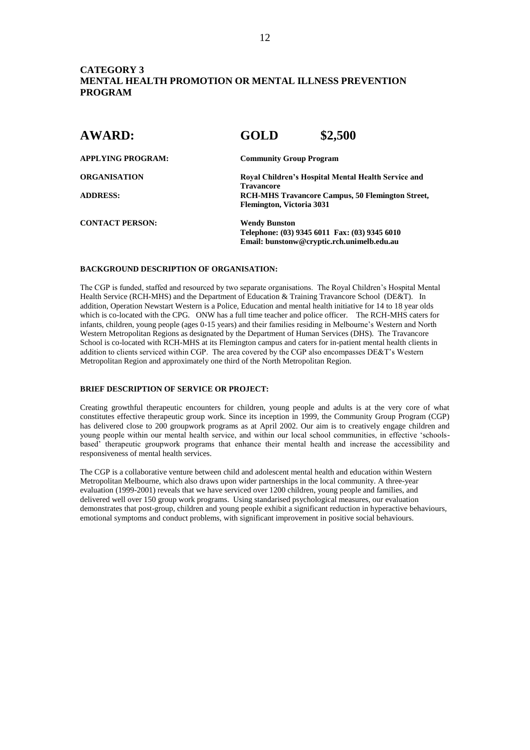| <b>AWARD:</b>            | <b>GOLD</b>                                                              | \$2,500                                                 |  |
|--------------------------|--------------------------------------------------------------------------|---------------------------------------------------------|--|
| <b>APPLYING PROGRAM:</b> | <b>Community Group Program</b>                                           |                                                         |  |
| <b>ORGANISATION</b>      | Royal Children's Hospital Mental Health Service and<br><b>Travancore</b> |                                                         |  |
| <b>ADDRESS:</b>          | Flemington, Victoria 3031                                                | <b>RCH-MHS Travancore Campus, 50 Flemington Street,</b> |  |
| <b>CONTACT PERSON:</b>   | <b>Wendy Bunston</b>                                                     |                                                         |  |
|                          |                                                                          | Telephone: (03) 9345 6011 Fax: (03) 9345 6010           |  |
|                          |                                                                          | Email: bunstonw@cryptic.rch.unimelb.edu.au              |  |

#### **BACKGROUND DESCRIPTION OF ORGANISATION:**

The CGP is funded, staffed and resourced by two separate organisations. The Royal Children's Hospital Mental Health Service (RCH-MHS) and the Department of Education & Training Travancore School (DE&T). In addition, Operation Newstart Western is a Police, Education and mental health initiative for 14 to 18 year olds which is co-located with the CPG. ONW has a full time teacher and police officer. The RCH-MHS caters for infants, children, young people (ages 0-15 years) and their families residing in Melbourne's Western and North Western Metropolitan Regions as designated by the Department of Human Services (DHS). The Travancore School is co-located with RCH-MHS at its Flemington campus and caters for in-patient mental health clients in addition to clients serviced within CGP. The area covered by the CGP also encompasses DE&T's Western Metropolitan Region and approximately one third of the North Metropolitan Region.

#### **BRIEF DESCRIPTION OF SERVICE OR PROJECT:**

Creating growthful therapeutic encounters for children, young people and adults is at the very core of what constitutes effective therapeutic group work. Since its inception in 1999, the Community Group Program (CGP) has delivered close to 200 groupwork programs as at April 2002. Our aim is to creatively engage children and young people within our mental health service, and within our local school communities, in effective 'schoolsbased' therapeutic groupwork programs that enhance their mental health and increase the accessibility and responsiveness of mental health services.

The CGP is a collaborative venture between child and adolescent mental health and education within Western Metropolitan Melbourne, which also draws upon wider partnerships in the local community. A three-year evaluation (1999-2001) reveals that we have serviced over 1200 children, young people and families, and delivered well over 150 group work programs. Using standarised psychological measures, our evaluation demonstrates that post-group, children and young people exhibit a significant reduction in hyperactive behaviours, emotional symptoms and conduct problems, with significant improvement in positive social behaviours.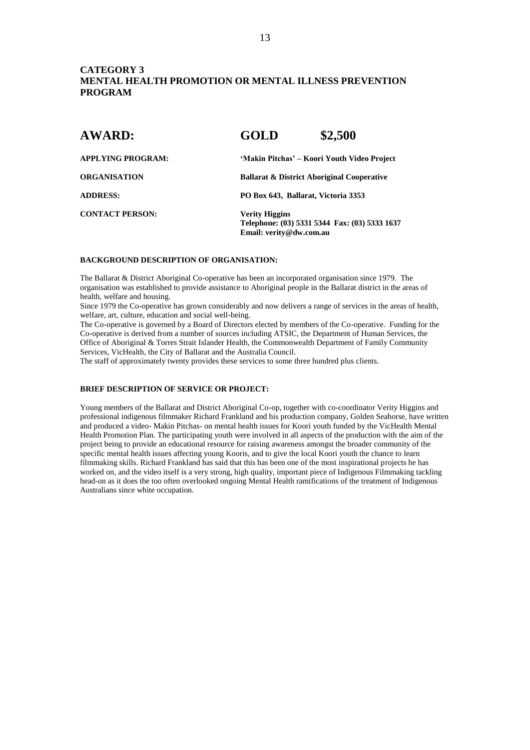| <b>AWARD:</b>            | <b>GOLD</b>                                           | \$2,500                                       |
|--------------------------|-------------------------------------------------------|-----------------------------------------------|
| <b>APPLYING PROGRAM:</b> | 'Makin Pitchas' – Koori Youth Video Project           |                                               |
| <b>ORGANISATION</b>      | <b>Ballarat &amp; District Aboriginal Cooperative</b> |                                               |
| <b>ADDRESS:</b>          | PO Box 643, Ballarat, Victoria 3353                   |                                               |
| <b>CONTACT PERSON:</b>   | <b>Verity Higgins</b><br>Email: verity@dw.com.au      | Telephone: (03) 5331 5344 Fax: (03) 5333 1637 |

#### **BACKGROUND DESCRIPTION OF ORGANISATION:**

The Ballarat & District Aboriginal Co-operative has been an incorporated organisation since 1979. The organisation was established to provide assistance to Aboriginal people in the Ballarat district in the areas of health, welfare and housing.

Since 1979 the Co-operative has grown considerably and now delivers a range of services in the areas of health, welfare, art, culture, education and social well-being.

The Co-operative is governed by a Board of Directors elected by members of the Co-operative. Funding for the Co-operative is derived from a number of sources including ATSIC, the Department of Human Services, the Office of Aboriginal & Torres Strait Islander Health, the Commonwealth Department of Family Community Services, VicHealth, the City of Ballarat and the Australia Council.

The staff of approximately twenty provides these services to some three hundred plus clients.

#### **BRIEF DESCRIPTION OF SERVICE OR PROJECT:**

Young members of the Ballarat and District Aboriginal Co-op, together with co-coordinator Verity Higgins and professional indigenous filmmaker Richard Frankland and his production company, Golden Seahorse, have written and produced a video- Makin Pitchas- on mental health issues for Koori youth funded by the VicHealth Mental Health Promotion Plan. The participating youth were involved in all aspects of the production with the aim of the project being to provide an educational resource for raising awareness amongst the broader community of the specific mental health issues affecting young Kooris, and to give the local Koori youth the chance to learn filmmaking skills. Richard Frankland has said that this has been one of the most inspirational projects he has worked on, and the video itself is a very strong, high quality, important piece of Indigenous Filmmaking tackling head-on as it does the too often overlooked ongoing Mental Health ramifications of the treatment of Indigenous Australians since white occupation.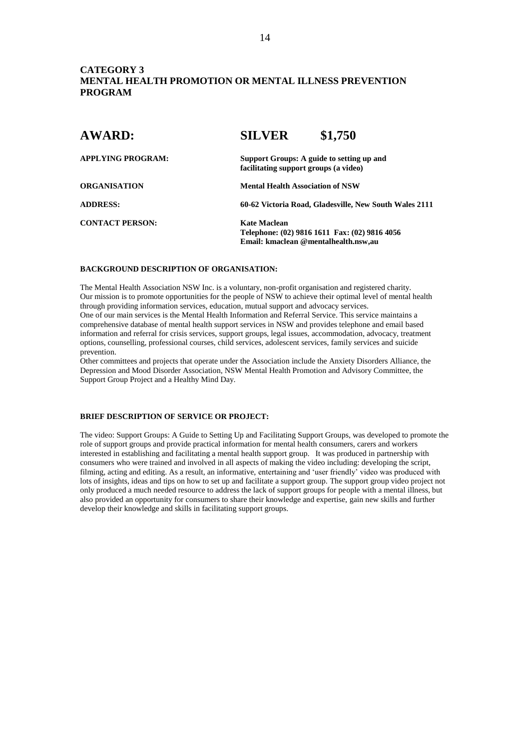| <b>AWARD:</b>            | <b>SILVER</b>                                                                      | \$1,750                                                                               |  |
|--------------------------|------------------------------------------------------------------------------------|---------------------------------------------------------------------------------------|--|
| <b>APPLYING PROGRAM:</b> | Support Groups: A guide to setting up and<br>facilitating support groups (a video) |                                                                                       |  |
| <b>ORGANISATION</b>      | <b>Mental Health Association of NSW</b>                                            |                                                                                       |  |
| <b>ADDRESS:</b>          | 60-62 Victoria Road, Gladesville, New South Wales 2111                             |                                                                                       |  |
| <b>CONTACT PERSON:</b>   | <b>Kate Maclean</b>                                                                | Telephone: (02) 9816 1611 Fax: (02) 9816 4056<br>Email: kmaclean @mentalhealth.nsw,au |  |

#### **BACKGROUND DESCRIPTION OF ORGANISATION:**

The Mental Health Association NSW Inc. is a voluntary, non-profit organisation and registered charity. Our mission is to promote opportunities for the people of NSW to achieve their optimal level of mental health through providing information services, education, mutual support and advocacy services. One of our main services is the Mental Health Information and Referral Service. This service maintains a comprehensive database of mental health support services in NSW and provides telephone and email based information and referral for crisis services, support groups, legal issues, accommodation, advocacy, treatment options, counselling, professional courses, child services, adolescent services, family services and suicide prevention.

Other committees and projects that operate under the Association include the Anxiety Disorders Alliance, the Depression and Mood Disorder Association, NSW Mental Health Promotion and Advisory Committee, the Support Group Project and a Healthy Mind Day.

## **BRIEF DESCRIPTION OF SERVICE OR PROJECT:**

The video: Support Groups: A Guide to Setting Up and Facilitating Support Groups, was developed to promote the role of support groups and provide practical information for mental health consumers, carers and workers interested in establishing and facilitating a mental health support group. It was produced in partnership with consumers who were trained and involved in all aspects of making the video including: developing the script, filming, acting and editing. As a result, an informative, entertaining and 'user friendly' video was produced with lots of insights, ideas and tips on how to set up and facilitate a support group. The support group video project not only produced a much needed resource to address the lack of support groups for people with a mental illness, but also provided an opportunity for consumers to share their knowledge and expertise, gain new skills and further develop their knowledge and skills in facilitating support groups.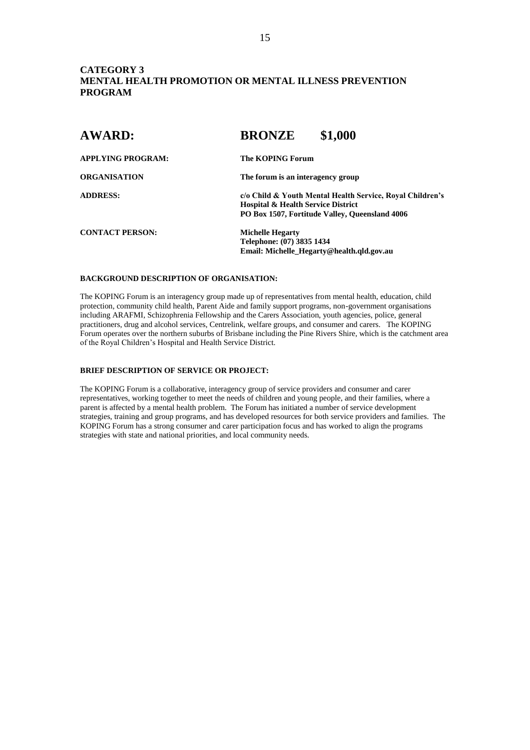| <b>AWARD:</b>            | \$1,000<br><b>BRONZE</b>                                                                                   |
|--------------------------|------------------------------------------------------------------------------------------------------------|
| <b>APPLYING PROGRAM:</b> | The KOPING Forum                                                                                           |
| <b>ORGANISATION</b>      | The forum is an interagency group                                                                          |
| <b>ADDRESS:</b>          | c/o Child & Youth Mental Health Service, Royal Children's<br><b>Hospital &amp; Health Service District</b> |
|                          | PO Box 1507, Fortitude Valley, Queensland 4006                                                             |
| <b>CONTACT PERSON:</b>   | <b>Michelle Hegarty</b>                                                                                    |
|                          | Telephone: (07) 3835 1434                                                                                  |
|                          | Email: Michelle_Hegarty@health.qld.gov.au                                                                  |

#### **BACKGROUND DESCRIPTION OF ORGANISATION:**

The KOPING Forum is an interagency group made up of representatives from mental health, education, child protection, community child health, Parent Aide and family support programs, non-government organisations including ARAFMI, Schizophrenia Fellowship and the Carers Association, youth agencies, police, general practitioners, drug and alcohol services, Centrelink, welfare groups, and consumer and carers. The KOPING Forum operates over the northern suburbs of Brisbane including the Pine Rivers Shire, which is the catchment area of the Royal Children's Hospital and Health Service District.

#### **BRIEF DESCRIPTION OF SERVICE OR PROJECT:**

The KOPING Forum is a collaborative, interagency group of service providers and consumer and carer representatives, working together to meet the needs of children and young people, and their families, where a parent is affected by a mental health problem. The Forum has initiated a number of service development strategies, training and group programs, and has developed resources for both service providers and families. The KOPING Forum has a strong consumer and carer participation focus and has worked to align the programs strategies with state and national priorities, and local community needs.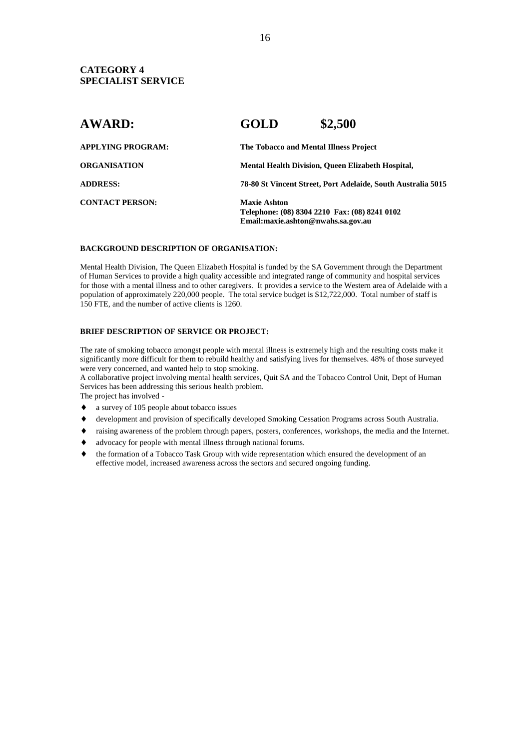# **CATEGORY 4 SPECIALIST SERVICE**

| <b>AWARD:</b>            | <b>GOLD</b>                                                                                                | \$2,500 |
|--------------------------|------------------------------------------------------------------------------------------------------------|---------|
| <b>APPLYING PROGRAM:</b> | The Tobacco and Mental Illness Project                                                                     |         |
| <b>ORGANISATION</b>      | <b>Mental Health Division, Queen Elizabeth Hospital,</b>                                                   |         |
| <b>ADDRESS:</b>          | 78-80 St Vincent Street, Port Adelaide, South Australia 5015                                               |         |
| <b>CONTACT PERSON:</b>   | <b>Maxie Ashton</b><br>Telephone: (08) 8304 2210 Fax: (08) 8241 0102<br>Email:maxie.ashton@nwahs.sa.gov.au |         |

## **BACKGROUND DESCRIPTION OF ORGANISATION:**

Mental Health Division, The Queen Elizabeth Hospital is funded by the SA Government through the Department of Human Services to provide a high quality accessible and integrated range of community and hospital services for those with a mental illness and to other caregivers. It provides a service to the Western area of Adelaide with a population of approximately 220,000 people. The total service budget is \$12,722,000. Total number of staff is 150 FTE, and the number of active clients is 1260.

#### **BRIEF DESCRIPTION OF SERVICE OR PROJECT:**

The rate of smoking tobacco amongst people with mental illness is extremely high and the resulting costs make it significantly more difficult for them to rebuild healthy and satisfying lives for themselves. 48% of those surveyed were very concerned, and wanted help to stop smoking.

A collaborative project involving mental health services, Quit SA and the Tobacco Control Unit, Dept of Human Services has been addressing this serious health problem.

The project has involved -

- a survey of 105 people about tobacco issues
- development and provision of specifically developed Smoking Cessation Programs across South Australia.
- raising awareness of the problem through papers, posters, conferences, workshops, the media and the Internet.
- advocacy for people with mental illness through national forums.
- the formation of a Tobacco Task Group with wide representation which ensured the development of an effective model, increased awareness across the sectors and secured ongoing funding.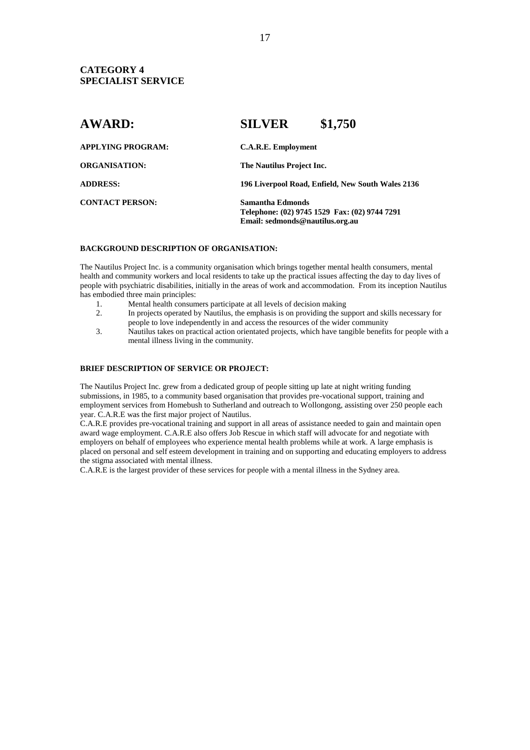# **CATEGORY 4 SPECIALIST SERVICE**

| <b>APPLYING PROGRAM:</b><br><b>C.A.R.E. Employment</b><br><b>ORGANISATION:</b><br>The Nautilus Project Inc.<br><b>ADDRESS:</b><br><b>CONTACT PERSON:</b><br>Samantha Edmonds<br>Telephone: (02) 9745 1529 Fax: (02) 9744 7291<br>Email: sedmonds@nautilus.org.au | <b>AWARD:</b> | <b>SILVER</b>                                     | \$1,750 |
|------------------------------------------------------------------------------------------------------------------------------------------------------------------------------------------------------------------------------------------------------------------|---------------|---------------------------------------------------|---------|
|                                                                                                                                                                                                                                                                  |               |                                                   |         |
|                                                                                                                                                                                                                                                                  |               |                                                   |         |
|                                                                                                                                                                                                                                                                  |               | 196 Liverpool Road, Enfield, New South Wales 2136 |         |
|                                                                                                                                                                                                                                                                  |               |                                                   |         |

# **BACKGROUND DESCRIPTION OF ORGANISATION:**

The Nautilus Project Inc. is a community organisation which brings together mental health consumers, mental health and community workers and local residents to take up the practical issues affecting the day to day lives of people with psychiatric disabilities, initially in the areas of work and accommodation. From its inception Nautilus has embodied three main principles:

- 1. Mental health consumers participate at all levels of decision making
- 2. In projects operated by Nautilus, the emphasis is on providing the support and skills necessary for people to love independently in and access the resources of the wider community
- 3. Nautilus takes on practical action orientated projects, which have tangible benefits for people with a mental illness living in the community.

#### **BRIEF DESCRIPTION OF SERVICE OR PROJECT:**

The Nautilus Project Inc. grew from a dedicated group of people sitting up late at night writing funding submissions, in 1985, to a community based organisation that provides pre-vocational support, training and employment services from Homebush to Sutherland and outreach to Wollongong, assisting over 250 people each year. C.A.R.E was the first major project of Nautilus.

C.A.R.E provides pre-vocational training and support in all areas of assistance needed to gain and maintain open award wage employment. C.A.R.E also offers Job Rescue in which staff will advocate for and negotiate with employers on behalf of employees who experience mental health problems while at work. A large emphasis is placed on personal and self esteem development in training and on supporting and educating employers to address the stigma associated with mental illness.

C.A.R.E is the largest provider of these services for people with a mental illness in the Sydney area.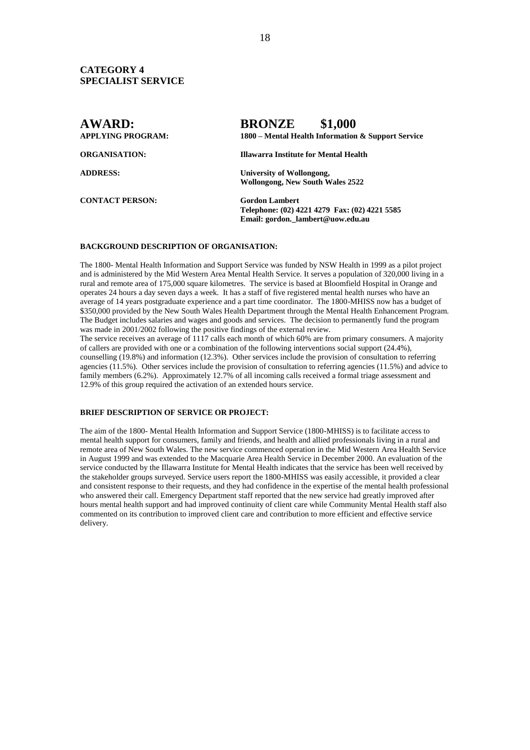# **CATEGORY 4 SPECIALIST SERVICE**

| <b>AWARD:</b><br><b>APPLYING PROGRAM:</b> | <b>BRONZE</b><br>\$1,000<br>1800 – Mental Health Information & Support Service                              |
|-------------------------------------------|-------------------------------------------------------------------------------------------------------------|
| <b>ORGANISATION:</b>                      | Illawarra Institute for Mental Health                                                                       |
| <b>ADDRESS:</b>                           | University of Wollongong,<br><b>Wollongong, New South Wales 2522</b>                                        |
| <b>CONTACT PERSON:</b>                    | <b>Gordon Lambert</b><br>Telephone: (02) 4221 4279 Fax: (02) 4221 5585<br>Email: gordon._lambert@uow.edu.au |

#### **BACKGROUND DESCRIPTION OF ORGANISATION:**

The 1800- Mental Health Information and Support Service was funded by NSW Health in 1999 as a pilot project and is administered by the Mid Western Area Mental Health Service. It serves a population of 320,000 living in a rural and remote area of 175,000 square kilometres. The service is based at Bloomfield Hospital in Orange and operates 24 hours a day seven days a week. It has a staff of five registered mental health nurses who have an average of 14 years postgraduate experience and a part time coordinator. The 1800-MHISS now has a budget of \$350,000 provided by the New South Wales Health Department through the Mental Health Enhancement Program. The Budget includes salaries and wages and goods and services. The decision to permanently fund the program was made in 2001/2002 following the positive findings of the external review.

The service receives an average of 1117 calls each month of which 60% are from primary consumers. A majority of callers are provided with one or a combination of the following interventions social support (24.4%), counselling (19.8%) and information (12.3%). Other services include the provision of consultation to referring agencies (11.5%). Other services include the provision of consultation to referring agencies (11.5%) and advice to family members (6.2%). Approximately 12.7% of all incoming calls received a formal triage assessment and 12.9% of this group required the activation of an extended hours service.

#### **BRIEF DESCRIPTION OF SERVICE OR PROJECT:**

The aim of the 1800- Mental Health Information and Support Service (1800-MHISS) is to facilitate access to mental health support for consumers, family and friends, and health and allied professionals living in a rural and remote area of New South Wales. The new service commenced operation in the Mid Western Area Health Service in August 1999 and was extended to the Macquarie Area Health Service in December 2000. An evaluation of the service conducted by the Illawarra Institute for Mental Health indicates that the service has been well received by the stakeholder groups surveyed. Service users report the 1800-MHISS was easily accessible, it provided a clear and consistent response to their requests, and they had confidence in the expertise of the mental health professional who answered their call. Emergency Department staff reported that the new service had greatly improved after hours mental health support and had improved continuity of client care while Community Mental Health staff also commented on its contribution to improved client care and contribution to more efficient and effective service delivery.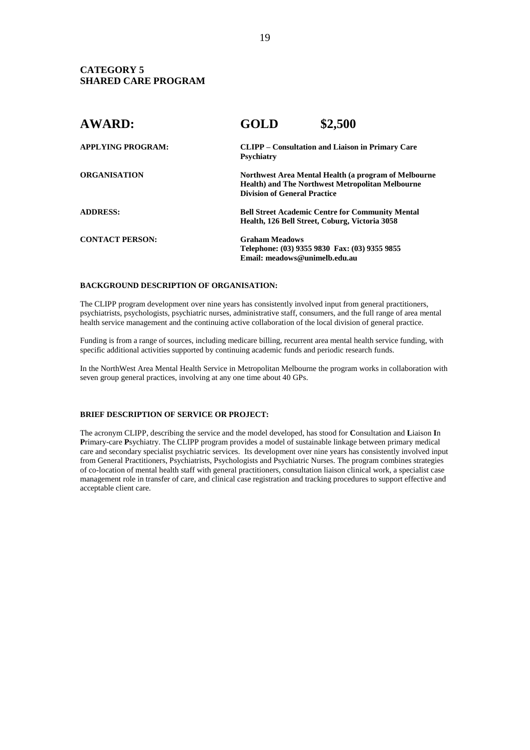| <b>AWARD:</b>            | <b>GOLD</b>                         | \$2,500                                                                                                         |  |
|--------------------------|-------------------------------------|-----------------------------------------------------------------------------------------------------------------|--|
| <b>APPLYING PROGRAM:</b> | <b>Psychiatry</b>                   | CLIPP – Consultation and Liaison in Primary Care                                                                |  |
| <b>ORGANISATION</b>      | <b>Division of General Practice</b> | Northwest Area Mental Health (a program of Melbourne<br><b>Health) and The Northwest Metropolitan Melbourne</b> |  |
| <b>ADDRESS:</b>          |                                     | <b>Bell Street Academic Centre for Community Mental</b><br>Health, 126 Bell Street, Coburg, Victoria 3058       |  |
| <b>CONTACT PERSON:</b>   | <b>Graham Meadows</b>               | Telephone: (03) 9355 9830 Fax: (03) 9355 9855<br>Email: meadows@unimelb.edu.au                                  |  |

#### **BACKGROUND DESCRIPTION OF ORGANISATION:**

The CLIPP program development over nine years has consistently involved input from general practitioners, psychiatrists, psychologists, psychiatric nurses, administrative staff, consumers, and the full range of area mental health service management and the continuing active collaboration of the local division of general practice.

Funding is from a range of sources, including medicare billing, recurrent area mental health service funding, with specific additional activities supported by continuing academic funds and periodic research funds.

In the NorthWest Area Mental Health Service in Metropolitan Melbourne the program works in collaboration with seven group general practices, involving at any one time about 40 GPs.

#### **BRIEF DESCRIPTION OF SERVICE OR PROJECT:**

The acronym CLIPP, describing the service and the model developed, has stood for **C**onsultation and **L**iaison **I**n **P**rimary-care **P**sychiatry. The CLIPP program provides a model of sustainable linkage between primary medical care and secondary specialist psychiatric services. Its development over nine years has consistently involved input from General Practitioners, Psychiatrists, Psychologists and Psychiatric Nurses. The program combines strategies of co-location of mental health staff with general practitioners, consultation liaison clinical work, a specialist case management role in transfer of care, and clinical case registration and tracking procedures to support effective and acceptable client care.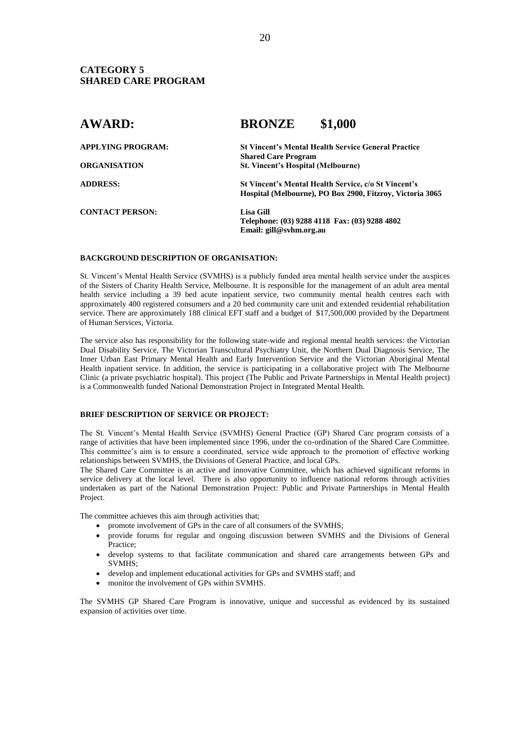| <b>AWARD:</b>            | \$1,000<br><b>BRONZE</b>                                   |  |
|--------------------------|------------------------------------------------------------|--|
| <b>APPLYING PROGRAM:</b> | <b>St Vincent's Mental Health Service General Practice</b> |  |
|                          | <b>Shared Care Program</b>                                 |  |
| <b>ORGANISATION</b>      | <b>St. Vincent's Hospital (Melbourne)</b>                  |  |
| <b>ADDRESS:</b>          | St Vincent's Mental Health Service, c/o St Vincent's       |  |
|                          | Hospital (Melbourne), PO Box 2900, Fitzroy, Victoria 3065  |  |
| <b>CONTACT PERSON:</b>   | <b>Lisa Gill</b>                                           |  |
|                          | Telephone: (03) 9288 4118 Fax: (03) 9288 4802              |  |
|                          | Email: gill@svhm.org.au                                    |  |

#### **BACKGROUND DESCRIPTION OF ORGANISATION:**

St. Vincent's Mental Health Service (SVMHS) is a publicly funded area mental health service under the auspices of the Sisters of Charity Health Service, Melbourne. It is responsible for the management of an adult area mental health service including a 39 bed acute inpatient service, two community mental health centres each with approximately 400 registered consumers and a 20 bed community care unit and extended residential rehabilitation service. There are approximately 188 clinical EFT staff and a budget of \$17,500,000 provided by the Department of Human Services, Victoria.

The service also has responsibility for the following state-wide and regional mental health services: the Victorian Dual Disability Service, The Victorian Transcultural Psychiatry Unit, the Northern Dual Diagnosis Service, The Inner Urban East Primary Mental Health and Early Intervention Service and the Victorian Aboriginal Mental Health inpatient service. In addition, the service is participating in a collaborative project with The Melbourne Clinic (a private psychiatric hospital). This project (The Public and Private Partnerships in Mental Health project) is a Commonwealth funded National Demonstration Project in Integrated Mental Health.

#### **BRIEF DESCRIPTION OF SERVICE OR PROJECT:**

The St. Vincent's Mental Health Service (SVMHS) General Practice (GP) Shared Care program consists of a range of activities that have been implemented since 1996, under the co-ordination of the Shared Care Committee. This committee's aim is to ensure a coordinated, service wide approach to the promotion of effective working relationships between SVMHS, the Divisions of General Practice, and local GPs.

The Shared Care Committee is an active and innovative Committee, which has achieved significant reforms in service delivery at the local level. There is also opportunity to influence national reforms through activities undertaken as part of the National Demonstration Project: Public and Private Partnerships in Mental Health Project.

The committee achieves this aim through activities that;

- promote involvement of GPs in the care of all consumers of the SVMHS;
- provide forums for regular and ongoing discussion between SVMHS and the Divisions of General Practice;
- develop systems to that facilitate communication and shared care arrangements between GPs and SVMHS;
- develop and implement educational activities for GPs and SVMHS staff; and
- monitor the involvement of GPs within SVMHS.

The SVMHS GP Shared Care Program is innovative, unique and successful as evidenced by its sustained expansion of activities over time.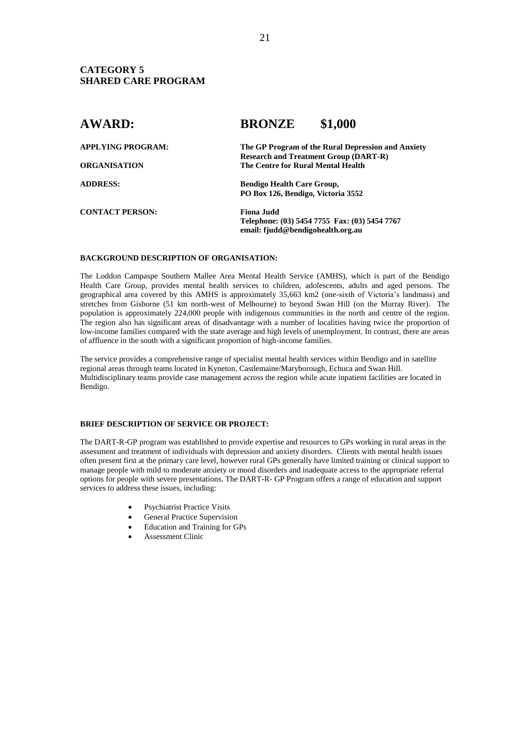| The GP Program of the Rural Depression and Anxiety |
|----------------------------------------------------|
| <b>Research and Treatment Group (DART-R)</b>       |
| The Centre for Rural Mental Health                 |
| <b>Bendigo Health Care Group,</b>                  |
| PO Box 126, Bendigo, Victoria 3552                 |
| Fiona Judd                                         |
| Telephone: (03) 5454 7755 Fax: (03) 5454 7767      |
| email: fjudd@bendigohealth.org.au                  |
|                                                    |

#### **BACKGROUND DESCRIPTION OF ORGANISATION:**

The Loddon Campaspe Southern Mallee Area Mental Health Service (AMHS), which is part of the Bendigo Health Care Group, provides mental health services to children, adolescents, adults and aged persons. The geographical area covered by this AMHS is approximately 35,663 km2 (one-sixth of Victoria's landmass) and stretches from Gisborne (51 km north-west of Melbourne) to beyond Swan Hill (on the Murray River). The population is approximately 224,000 people with indigenous communities in the north and centre of the region. The region also has significant areas of disadvantage with a number of localities having twice the proportion of low-income families compared with the state average and high levels of unemployment. In contrast, there are areas of affluence in the south with a significant proportion of high-income families.

The service provides a comprehensive range of specialist mental health services within Bendigo and in satellite regional areas through teams located in Kyneton, Castlemaine/Maryborough, Echuca and Swan Hill. Multidisciplinary teams provide case management across the region while acute inpatient facilities are located in Bendigo.

#### **BRIEF DESCRIPTION OF SERVICE OR PROJECT:**

The DART-R-GP program was established to provide expertise and resources to GPs working in rural areas in the assessment and treatment of individuals with depression and anxiety disorders. Clients with mental health issues often present first at the primary care level, however rural GPs generally have limited training or clinical support to manage people with mild to moderate anxiety or mood disorders and inadequate access to the appropriate referral options for people with severe presentations. The DART-R- GP Program offers a range of education and support services to address these issues, including:

- Psychiatrist Practice Visits
- General Practice Supervision
- Education and Training for GPs
- Assessment Clinic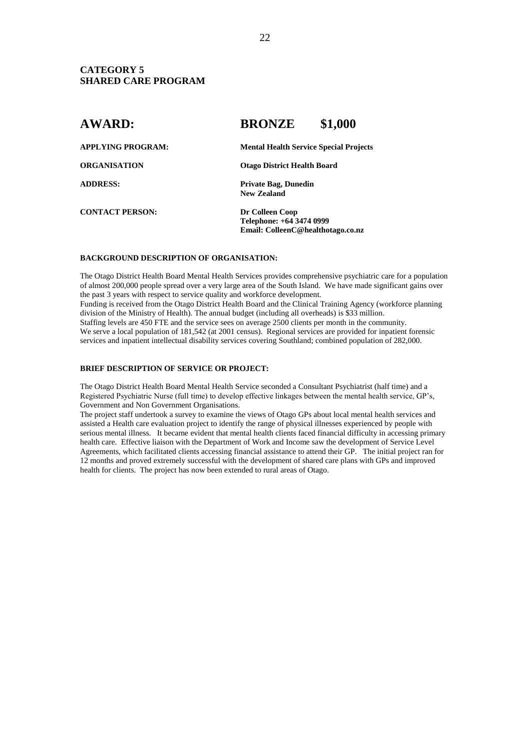| <b>AWARD:</b>            | \$1,000<br><b>BRONZE</b>                                                         |  |
|--------------------------|----------------------------------------------------------------------------------|--|
| <b>APPLYING PROGRAM:</b> | <b>Mental Health Service Special Projects</b>                                    |  |
| <b>ORGANISATION</b>      | <b>Otago District Health Board</b>                                               |  |
| <b>ADDRESS:</b>          | <b>Private Bag, Dunedin</b><br><b>New Zealand</b>                                |  |
| <b>CONTACT PERSON:</b>   | Dr Colleen Coop<br>Telephone: +64 3474 0999<br>Email: ColleenC@healthotago.co.nz |  |

#### **BACKGROUND DESCRIPTION OF ORGANISATION:**

The Otago District Health Board Mental Health Services provides comprehensive psychiatric care for a population of almost 200,000 people spread over a very large area of the South Island. We have made significant gains over the past 3 years with respect to service quality and workforce development. Funding is received from the Otago District Health Board and the Clinical Training Agency (workforce planning division of the Ministry of Health). The annual budget (including all overheads) is \$33 million. Staffing levels are 450 FTE and the service sees on average 2500 clients per month in the community. We serve a local population of 181,542 (at 2001 census). Regional services are provided for inpatient forensic services and inpatient intellectual disability services covering Southland; combined population of 282,000.

#### **BRIEF DESCRIPTION OF SERVICE OR PROJECT:**

The Otago District Health Board Mental Health Service seconded a Consultant Psychiatrist (half time) and a Registered Psychiatric Nurse (full time) to develop effective linkages between the mental health service, GP's, Government and Non Government Organisations.

The project staff undertook a survey to examine the views of Otago GPs about local mental health services and assisted a Health care evaluation project to identify the range of physical illnesses experienced by people with serious mental illness. It became evident that mental health clients faced financial difficulty in accessing primary health care. Effective liaison with the Department of Work and Income saw the development of Service Level Agreements, which facilitated clients accessing financial assistance to attend their GP. The initial project ran for 12 months and proved extremely successful with the development of shared care plans with GPs and improved health for clients. The project has now been extended to rural areas of Otago.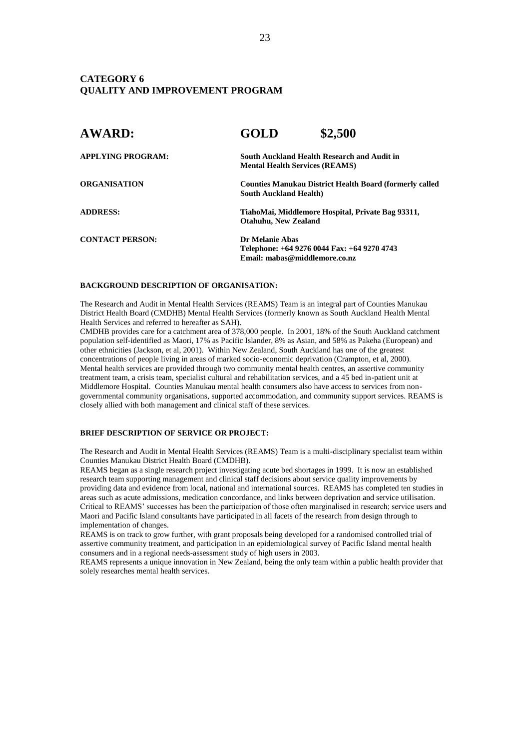# **CATEGORY 6 QUALITY AND IMPROVEMENT PROGRAM**

| <b>AWARD:</b>            | GOLD                          | \$2,500                                                                              |  |
|--------------------------|-------------------------------|--------------------------------------------------------------------------------------|--|
| <b>APPLYING PROGRAM:</b> |                               | South Auckland Health Research and Audit in<br><b>Mental Health Services (REAMS)</b> |  |
| <b>ORGANISATION</b>      | <b>South Auckland Health)</b> | <b>Counties Manukau District Health Board (formerly called)</b>                      |  |
| <b>ADDRESS:</b>          | <b>Otahuhu, New Zealand</b>   | TiahoMai, Middlemore Hospital, Private Bag 93311,                                    |  |
| <b>CONTACT PERSON:</b>   | Dr Melanie Abas               | Telephone: +64 9276 0044 Fax: +64 9270 4743<br>Email: mabas@middlemore.co.nz         |  |

#### **BACKGROUND DESCRIPTION OF ORGANISATION:**

The Research and Audit in Mental Health Services (REAMS) Team is an integral part of Counties Manukau District Health Board (CMDHB) Mental Health Services (formerly known as South Auckland Health Mental Health Services and referred to hereafter as SAH).

CMDHB provides care for a catchment area of 378,000 people. In 2001, 18% of the South Auckland catchment population self-identified as Maori, 17% as Pacific Islander, 8% as Asian, and 58% as Pakeha (European) and other ethnicities (Jackson, et al, 2001). Within New Zealand, South Auckland has one of the greatest concentrations of people living in areas of marked socio-economic deprivation (Crampton, et al, 2000). Mental health services are provided through two community mental health centres, an assertive community treatment team, a crisis team, specialist cultural and rehabilitation services, and a 45 bed in-patient unit at Middlemore Hospital. Counties Manukau mental health consumers also have access to services from nongovernmental community organisations, supported accommodation, and community support services. REAMS is closely allied with both management and clinical staff of these services.

# **BRIEF DESCRIPTION OF SERVICE OR PROJECT:**

The Research and Audit in Mental Health Services (REAMS) Team is a multi-disciplinary specialist team within Counties Manukau District Health Board (CMDHB).

REAMS began as a single research project investigating acute bed shortages in 1999. It is now an established research team supporting management and clinical staff decisions about service quality improvements by providing data and evidence from local, national and international sources. REAMS has completed ten studies in areas such as acute admissions, medication concordance, and links between deprivation and service utilisation. Critical to REAMS' successes has been the participation of those often marginalised in research; service users and Maori and Pacific Island consultants have participated in all facets of the research from design through to implementation of changes.

REAMS is on track to grow further, with grant proposals being developed for a randomised controlled trial of assertive community treatment, and participation in an epidemiological survey of Pacific Island mental health consumers and in a regional needs-assessment study of high users in 2003.

REAMS represents a unique innovation in New Zealand, being the only team within a public health provider that solely researches mental health services.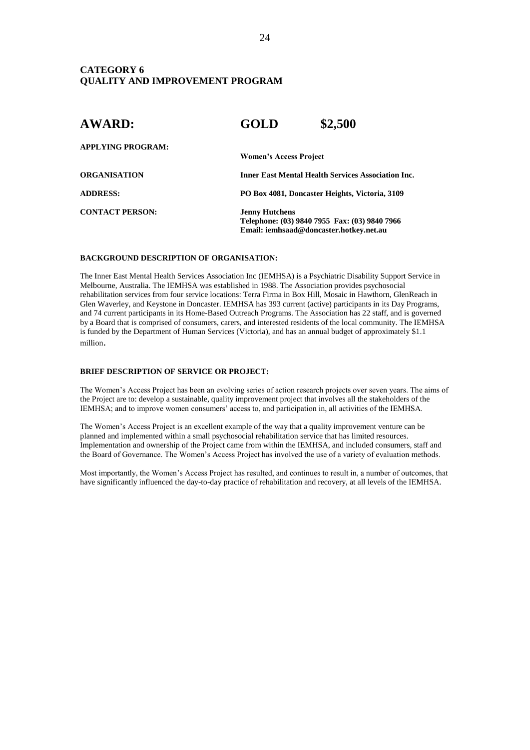# **CATEGORY 6 QUALITY AND IMPROVEMENT PROGRAM**

| <b>AWARD:</b>            | <b>GOLD</b>                                               | \$2,500                                        |
|--------------------------|-----------------------------------------------------------|------------------------------------------------|
| <b>APPLYING PROGRAM:</b> |                                                           |                                                |
|                          | <b>Women's Access Project</b>                             |                                                |
| <b>ORGANISATION</b>      | <b>Inner East Mental Health Services Association Inc.</b> |                                                |
| <b>ADDRESS:</b>          |                                                           | PO Box 4081, Doncaster Heights, Victoria, 3109 |
| <b>CONTACT PERSON:</b>   | <b>Jenny Hutchens</b>                                     |                                                |
|                          |                                                           | Telephone: (03) 9840 7955 Fax: (03) 9840 7966  |
|                          |                                                           | Email: iemhsaad@doncaster.hotkey.net.au        |

#### **BACKGROUND DESCRIPTION OF ORGANISATION:**

The Inner East Mental Health Services Association Inc (IEMHSA) is a Psychiatric Disability Support Service in Melbourne, Australia. The IEMHSA was established in 1988. The Association provides psychosocial rehabilitation services from four service locations: Terra Firma in Box Hill, Mosaic in Hawthorn, GlenReach in Glen Waverley, and Keystone in Doncaster. IEMHSA has 393 current (active) participants in its Day Programs, and 74 current participants in its Home-Based Outreach Programs. The Association has 22 staff, and is governed by a Board that is comprised of consumers, carers, and interested residents of the local community. The IEMHSA is funded by the Department of Human Services (Victoria), and has an annual budget of approximately \$1.1 million.

#### **BRIEF DESCRIPTION OF SERVICE OR PROJECT:**

The Women's Access Project has been an evolving series of action research projects over seven years. The aims of the Project are to: develop a sustainable, quality improvement project that involves all the stakeholders of the IEMHSA; and to improve women consumers' access to, and participation in, all activities of the IEMHSA.

The Women's Access Project is an excellent example of the way that a quality improvement venture can be planned and implemented within a small psychosocial rehabilitation service that has limited resources. Implementation and ownership of the Project came from within the IEMHSA, and included consumers, staff and the Board of Governance. The Women's Access Project has involved the use of a variety of evaluation methods.

Most importantly, the Women's Access Project has resulted, and continues to result in, a number of outcomes, that have significantly influenced the day-to-day practice of rehabilitation and recovery, at all levels of the IEMHSA.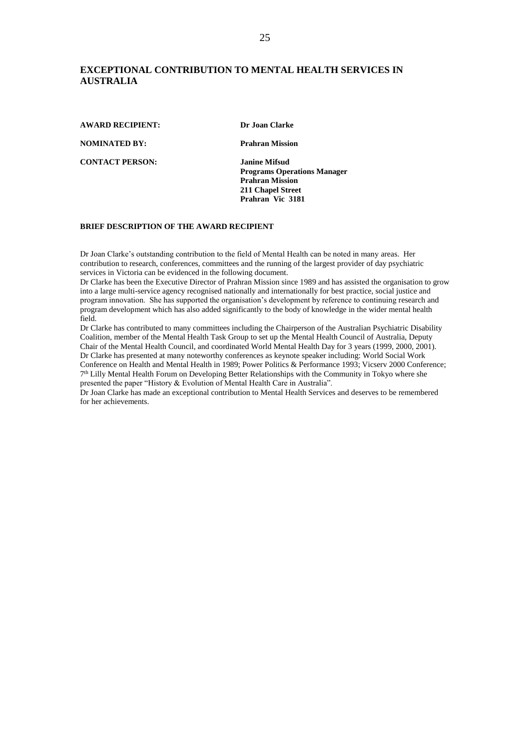# **EXCEPTIONAL CONTRIBUTION TO MENTAL HEALTH SERVICES IN AUSTRALIA**

**AWARD RECIPIENT: Dr Joan Clarke**

**NOMINATED BY: Prahran Mission**

**CONTACT PERSON: Janine Mifsud Programs Operations Manager Prahran Mission 211 Chapel Street Prahran Vic 3181**

#### **BRIEF DESCRIPTION OF THE AWARD RECIPIENT**

Dr Joan Clarke's outstanding contribution to the field of Mental Health can be noted in many areas. Her contribution to research, conferences, committees and the running of the largest provider of day psychiatric services in Victoria can be evidenced in the following document.

Dr Clarke has been the Executive Director of Prahran Mission since 1989 and has assisted the organisation to grow into a large multi-service agency recognised nationally and internationally for best practice, social justice and program innovation. She has supported the organisation's development by reference to continuing research and program development which has also added significantly to the body of knowledge in the wider mental health field.

Dr Clarke has contributed to many committees including the Chairperson of the Australian Psychiatric Disability Coalition, member of the Mental Health Task Group to set up the Mental Health Council of Australia, Deputy Chair of the Mental Health Council, and coordinated World Mental Health Day for 3 years (1999, 2000, 2001). Dr Clarke has presented at many noteworthy conferences as keynote speaker including: World Social Work Conference on Health and Mental Health in 1989; Power Politics & Performance 1993; Vicserv 2000 Conference; 7<sup>th</sup> Lilly Mental Health Forum on Developing Better Relationships with the Community in Tokyo where she presented the paper "History & Evolution of Mental Health Care in Australia".

Dr Joan Clarke has made an exceptional contribution to Mental Health Services and deserves to be remembered for her achievements.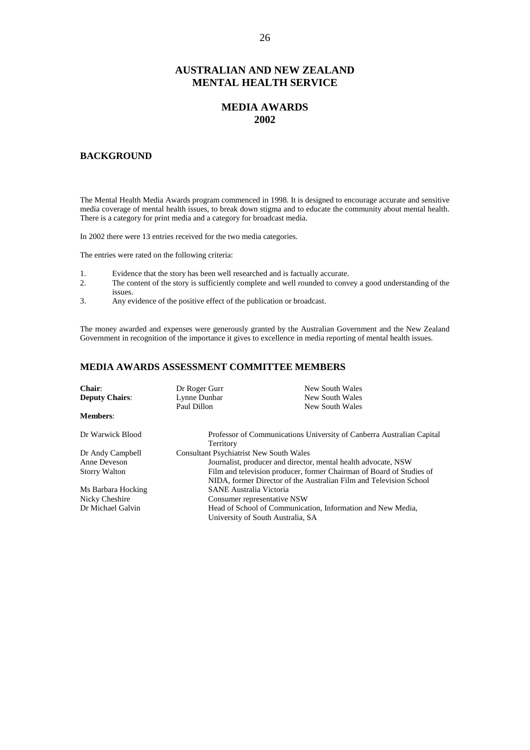# **AUSTRALIAN AND NEW ZEALAND MENTAL HEALTH SERVICE**

# **MEDIA AWARDS 2002**

#### **BACKGROUND**

The Mental Health Media Awards program commenced in 1998. It is designed to encourage accurate and sensitive media coverage of mental health issues, to break down stigma and to educate the community about mental health. There is a category for print media and a category for broadcast media.

In 2002 there were 13 entries received for the two media categories.

The entries were rated on the following criteria:

- 1. Evidence that the story has been well researched and is factually accurate.
- 2. The content of the story is sufficiently complete and well rounded to convey a good understanding of the issues.
- 3. Any evidence of the positive effect of the publication or broadcast.

The money awarded and expenses were generously granted by the Australian Government and the New Zealand Government in recognition of the importance it gives to excellence in media reporting of mental health issues.

# **MEDIA AWARDS ASSESSMENT COMMITTEE MEMBERS**

| Chair:                | Dr Roger Gurr                                                        | New South Wales                                                       |
|-----------------------|----------------------------------------------------------------------|-----------------------------------------------------------------------|
| <b>Deputy Chairs:</b> | Lynne Dunbar                                                         | New South Wales                                                       |
|                       | Paul Dillon                                                          | New South Wales                                                       |
| <b>Members:</b>       |                                                                      |                                                                       |
| Dr Warwick Blood      |                                                                      | Professor of Communications University of Canberra Australian Capital |
|                       | Territory                                                            |                                                                       |
| Dr Andy Campbell      | <b>Consultant Psychiatrist New South Wales</b>                       |                                                                       |
| Anne Deveson          | Journalist, producer and director, mental health advocate, NSW       |                                                                       |
| <b>Storry Walton</b>  | Film and television producer, former Chairman of Board of Studies of |                                                                       |
|                       |                                                                      | NIDA, former Director of the Australian Film and Television School    |
| Ms Barbara Hocking    | <b>SANE</b> Australia Victoria                                       |                                                                       |
| Nicky Cheshire        | Consumer representative NSW                                          |                                                                       |
| Dr Michael Galvin     |                                                                      | Head of School of Communication, Information and New Media,           |
|                       | University of South Australia, SA                                    |                                                                       |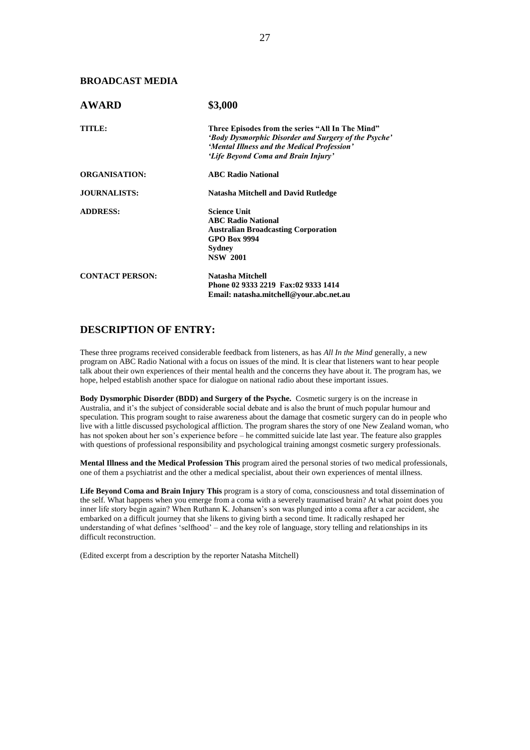## **BROADCAST MEDIA**

| <b>AWARD</b>           | \$3,000                                                                                                                                                                                        |  |
|------------------------|------------------------------------------------------------------------------------------------------------------------------------------------------------------------------------------------|--|
| TITLE:                 | Three Episodes from the series "All In The Mind"<br>'Body Dysmorphic Disorder and Surgery of the Psyche'<br>'Mental Illness and the Medical Profession'<br>'Life Beyond Coma and Brain Injury' |  |
| <b>ORGANISATION:</b>   | <b>ABC Radio National</b>                                                                                                                                                                      |  |
| <b>JOURNALISTS:</b>    | <b>Natasha Mitchell and David Rutledge</b>                                                                                                                                                     |  |
| <b>ADDRESS:</b>        | <b>Science Unit</b><br><b>ABC Radio National</b><br><b>Australian Broadcasting Corporation</b><br><b>GPO Box 9994</b><br>Sydney<br><b>NSW 2001</b>                                             |  |
| <b>CONTACT PERSON:</b> | Natasha Mitchell<br>Phone 02 9333 2219 Fax:02 9333 1414<br>Email: natasha.mitchell@your.abc.net.au                                                                                             |  |

# **DESCRIPTION OF ENTRY:**

These three programs received considerable feedback from listeners, as has *All In the Mind* generally, a new program on ABC Radio National with a focus on issues of the mind. It is clear that listeners want to hear people talk about their own experiences of their mental health and the concerns they have about it. The program has, we hope, helped establish another space for dialogue on national radio about these important issues.

**Body Dysmorphic Disorder (BDD) and Surgery of the Psyche.** Cosmetic surgery is on the increase in Australia, and it's the subject of considerable social debate and is also the brunt of much popular humour and speculation. This program sought to raise awareness about the damage that cosmetic surgery can do in people who live with a little discussed psychological affliction. The program shares the story of one New Zealand woman, who has not spoken about her son's experience before – he committed suicide late last year. The feature also grapples with questions of professional responsibility and psychological training amongst cosmetic surgery professionals.

**Mental Illness and the Medical Profession This** program aired the personal stories of two medical professionals, one of them a psychiatrist and the other a medical specialist, about their own experiences of mental illness.

**Life Beyond Coma and Brain Injury This** program is a story of coma, consciousness and total dissemination of the self. What happens when you emerge from a coma with a severely traumatised brain? At what point does you inner life story begin again? When Ruthann K. Johansen's son was plunged into a coma after a car accident, she embarked on a difficult journey that she likens to giving birth a second time. It radically reshaped her understanding of what defines 'selfhood' – and the key role of language, story telling and relationships in its difficult reconstruction.

(Edited excerpt from a description by the reporter Natasha Mitchell)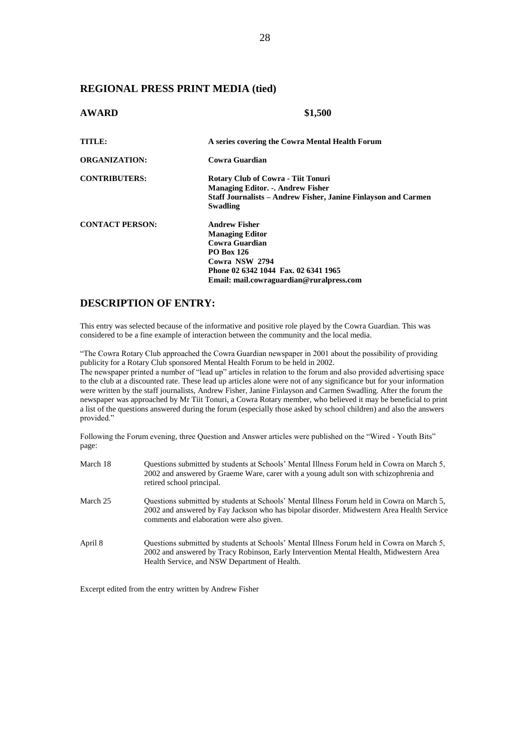# **REGIONAL PRESS PRINT MEDIA (tied)**

| <b>AWARD</b>           | \$1,500                                                                                                                                                                                     |
|------------------------|---------------------------------------------------------------------------------------------------------------------------------------------------------------------------------------------|
| TITLE:                 | A series covering the Cowra Mental Health Forum                                                                                                                                             |
| <b>ORGANIZATION:</b>   | Cowra Guardian                                                                                                                                                                              |
| <b>CONTRIBUTERS:</b>   | Rotary Club of Cowra - Tiit Tonuri<br><b>Managing Editor. -. Andrew Fisher</b><br>Staff Journalists – Andrew Fisher, Janine Finlayson and Carmen<br><b>Swadling</b>                         |
| <b>CONTACT PERSON:</b> | <b>Andrew Fisher</b><br><b>Managing Editor</b><br>Cowra Guardian<br><b>PO Box 126</b><br>Cowra NSW 2794<br>Phone 02 6342 1044 Fax. 02 6341 1965<br>Email: mail.cowraguardian@ruralpress.com |

# **DESCRIPTION OF ENTRY:**

This entry was selected because of the informative and positive role played by the Cowra Guardian. This was considered to be a fine example of interaction between the community and the local media.

"The Cowra Rotary Club approached the Cowra Guardian newspaper in 2001 about the possibility of providing publicity for a Rotary Club sponsored Mental Health Forum to be held in 2002.

The newspaper printed a number of "lead up" articles in relation to the forum and also provided advertising space to the club at a discounted rate. These lead up articles alone were not of any significance but for your information were written by the staff journalists, Andrew Fisher, Janine Finlayson and Carmen Swadling. After the forum the newspaper was approached by Mr Tiit Tonuri, a Cowra Rotary member, who believed it may be beneficial to print a list of the questions answered during the forum (especially those asked by school children) and also the answers provided."

Following the Forum evening, three Question and Answer articles were published on the "Wired - Youth Bits" page:

| March 18 | Ouestions submitted by students at Schools' Mental Illness Forum held in Cowra on March 5,<br>2002 and answered by Graeme Ware, carer with a young adult son with schizophrenia and<br>retired school principal.                      |
|----------|---------------------------------------------------------------------------------------------------------------------------------------------------------------------------------------------------------------------------------------|
| March 25 | Ouestions submitted by students at Schools' Mental Illness Forum held in Cowra on March 5,<br>2002 and answered by Fay Jackson who has bipolar disorder. Midwestern Area Health Service<br>comments and elaboration were also given.  |
| April 8  | Questions submitted by students at Schools' Mental Illness Forum held in Cowra on March 5,<br>2002 and answered by Tracy Robinson, Early Intervention Mental Health, Midwestern Area<br>Health Service, and NSW Department of Health. |

Excerpt edited from the entry written by Andrew Fisher